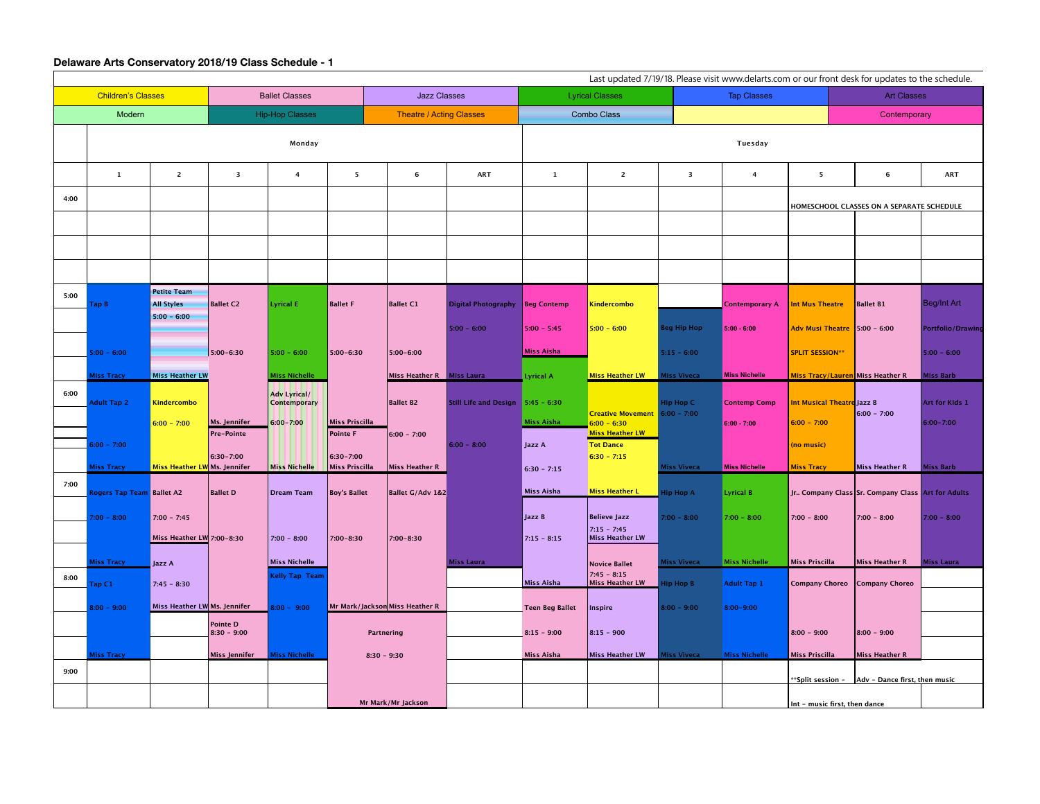## **Delaware Arts Conservatory 2018/19 Class Schedule - 1**

| Last updated 7/19/18. Please visit www.delarts.com or our front desk for updates to the schedule. |                                  |                                                          |                                   |                                            |                                   |                                 |                                   |                             |                                                             |                                            |                       |                                   |                                                         |                          |
|---------------------------------------------------------------------------------------------------|----------------------------------|----------------------------------------------------------|-----------------------------------|--------------------------------------------|-----------------------------------|---------------------------------|-----------------------------------|-----------------------------|-------------------------------------------------------------|--------------------------------------------|-----------------------|-----------------------------------|---------------------------------------------------------|--------------------------|
| <b>Children's Classes</b>                                                                         |                                  |                                                          | <b>Ballet Classes</b>             |                                            |                                   | <b>Jazz Classes</b>             |                                   | <b>Lyrical Classes</b>      |                                                             |                                            | <b>Tap Classes</b>    |                                   | <b>Art Classes</b>                                      |                          |
| Modern                                                                                            |                                  |                                                          | <b>Hip-Hop Classes</b>            |                                            |                                   | <b>Theatre / Acting Classes</b> | <b>Combo Class</b>                |                             |                                                             |                                            |                       |                                   | Contemporary                                            |                          |
|                                                                                                   |                                  |                                                          |                                   | Monday                                     |                                   |                                 |                                   |                             |                                                             | Tuesday                                    |                       |                                   |                                                         |                          |
|                                                                                                   | $\mathbf{1}$                     | $\overline{2}$                                           | $\overline{\mathbf{3}}$           | $\overline{4}$                             | $\overline{\mathbf{5}}$           | 6                               | <b>ART</b>                        | 1                           | $\overline{2}$                                              | $\overline{\mathbf{3}}$                    | 4                     | 5                                 | 6                                                       | <b>ART</b>               |
| 4:00                                                                                              |                                  |                                                          |                                   |                                            |                                   |                                 |                                   |                             |                                                             |                                            |                       |                                   | HOMESCHOOL CLASSES ON A SEPARATE SCHEDULE               |                          |
|                                                                                                   |                                  |                                                          |                                   |                                            |                                   |                                 |                                   |                             |                                                             |                                            |                       |                                   |                                                         |                          |
|                                                                                                   |                                  |                                                          |                                   |                                            |                                   |                                 |                                   |                             |                                                             |                                            |                       |                                   |                                                         |                          |
|                                                                                                   |                                  |                                                          |                                   |                                            |                                   |                                 |                                   |                             |                                                             |                                            |                       |                                   |                                                         |                          |
| 5:00                                                                                              | Tap B                            | <b>Petite Team</b><br><b>All Styles</b><br>$5:00 - 6:00$ | <b>Ballet C2</b>                  | <b>Lyrical E</b>                           | <b>Ballet F</b>                   | <b>Ballet C1</b>                | Digital Photography   Beg Contemp |                             | Kindercombo                                                 |                                            | <b>Contemporary A</b> | Int Mus Theatre                   | <b>Ballet B1</b>                                        | Beg/Int Art              |
|                                                                                                   |                                  |                                                          |                                   |                                            |                                   |                                 | $5:00 - 6:00$                     | $5:00 - 5:45$               | $5:00 - 6:00$                                               | <b>Beg Hip Hop</b>                         | $5:00 - 6:00$         | Adv Musi Theatre 5:00 - 6:00      |                                                         | <b>Portfolio/Drawing</b> |
|                                                                                                   | $5:00 - 6:00$                    |                                                          | $5:00 - 6:30$                     | $5:00 - 6:00$                              | 5:00-6:30                         | $5:00 - 6:00$                   |                                   | <b>Miss Aisha</b>           |                                                             | $5:15 - 6:00$                              |                       | <b>SPLIT SESSION**</b>            |                                                         | $5:00 - 6:00$            |
|                                                                                                   | <b>Miss Tracy</b>                | <b>Miss Heather LW</b>                                   |                                   | Miss Nichelle                              |                                   | Miss Heather R   Miss Laura     |                                   | Lyrical A                   | <b>Miss Heather LW</b>                                      | <b>Miss Viveca</b>                         | <b>Miss Nichelle</b>  | Miss Tracy/Lauren Miss Heather R  |                                                         | <b>Miss Barb</b>         |
| 6:00                                                                                              | <b>Adult Tap 2</b>               | Kindercombo                                              |                                   | <b>Adv Lyrical/</b><br><b>Contemporary</b> |                                   | <b>Ballet B2</b>                | Still Life and Design 5:45 - 6:30 |                             | Creative Movement 6:00 - 7:00                               | Hip Hop C                                  | <b>Contemp Comp</b>   | <b>Int Musical Theatre Jazz B</b> | $6:00 - 7:00$                                           | Art for Kids 1           |
|                                                                                                   | $6:00 - 7:00$                    | $6:00 - 7:00$                                            | Ms. Jennifer<br><b>Pre-Pointe</b> | $6:00 - 7:00$                              | Miss Priscilla<br><b>Pointe F</b> | $6:00 - 7:00$                   | $ 6:00 - 8:00 $                   | <b>Miss Aisha</b><br>Jazz A | $6:00 - 6:30$<br><b>Miss Heather LW</b><br><b>Tot Dance</b> |                                            | $6:00 - 7:00$         | $6:00 - 7:00$<br>(no music)       |                                                         | $6:00 - 7:00$            |
|                                                                                                   | <b>Miss Tracy</b>                | Miss Heather LW Ms. Jennifer                             | 6:30-7:00                         | Miss Nichelle                              | $ 6:30 - 7:00 $<br>Miss Priscilla | Miss Heather R                  |                                   | $6:30 - 7:15$               | $6:30 - 7:15$                                               | <b>Miss Viveca</b>                         | <b>Miss Nichelle</b>  | <b>Miss Tracy</b>                 | <b>Miss Heather R</b>                                   | <b>Miss Barb</b>         |
| 7:00                                                                                              | <b>Rogers Tap Team Ballet A2</b> |                                                          | <b>Ballet D</b>                   | Dream Team                                 | Boy's Ballet                      | <b>Ballet G/Adv 1&amp;2</b>     |                                   | Miss Aisha                  | <b>Miss Heather L</b>                                       | Hip Hop A                                  | <b>Lyrical B</b>      |                                   | Jr Company Class Sr. Company Class Art for Adults       |                          |
|                                                                                                   | $7:00 - 8:00$                    | $7:00 - 7:45$                                            |                                   |                                            |                                   |                                 |                                   | Jazz B                      | <b>Believe Jazz</b>                                         | $7:00 - 8:00$                              | $7:00 - 8:00$         | $7:00 - 8:00$                     | $ 7:00 - 8:00 $                                         | $7:00 - 8:00$            |
|                                                                                                   |                                  | Miss Heather LW $7:00-8:30$                              |                                   | $ 7:00 - 8:00 $                            | $ 7:00 - 8:30 $                   | 7:00-8:30                       |                                   | $7:15 - 8:15$               | $7:15 - 7:45$<br>Miss Heather LW                            |                                            |                       |                                   |                                                         |                          |
|                                                                                                   | <b>Miss Tracy</b>                | Jazz A                                                   | <b>Miss Nichelle</b>              |                                            |                                   | Miss Laura                      |                                   | Novice Ballet               |                                                             | <b>Miss Nichelle</b><br><b>Miss Viveca</b> |                       | Miss Priscilla                    | Miss Heather R                                          | <b>Miss Laura</b>        |
| 8:00                                                                                              | Tap C1                           | $7:45 - 8:30$                                            |                                   | <b>Kelly Tap Team</b>                      |                                   |                                 |                                   | <b>Miss Aisha</b>           | $7:45 - 8:15$<br>Miss Heather LW                            | $\blacksquare$ Hip Hop B                   | <b>Adult Tap 1</b>    |                                   | Company Choreo Company Choreo                           |                          |
|                                                                                                   | $8:00 - 9:00$                    | Miss Heather LW Ms. Jennifer                             |                                   | $8:00 - 9:00$                              | Mr Mark/Jackson Miss Heather R    |                                 |                                   | <b>Teen Beg Ballet</b>      | Inspire                                                     | $8:00 - 9:00$                              | 8:00-9:00             |                                   |                                                         |                          |
|                                                                                                   |                                  |                                                          | <b>Pointe D</b><br>$8:30 - 9:00$  |                                            | Partnering                        |                                 |                                   | $8:15 - 9:00$               | $8:15 - 900$                                                |                                            |                       | $8:00 - 9:00$                     | $8:00 - 9:00$                                           |                          |
|                                                                                                   | <b>Miss Tracy</b>                |                                                          | Miss Jennifer                     | <b>Miss Nichelle</b>                       | $8:30 - 9:30$                     |                                 |                                   | <b>Miss Aisha</b>           | Miss Heather LW                                             | <b>Miss Viveca</b>                         | <b>Miss Nichelle</b>  | <b>Miss Priscilla</b>             | Miss Heather R                                          |                          |
| 9:00                                                                                              |                                  |                                                          |                                   |                                            |                                   |                                 |                                   |                             |                                                             |                                            |                       |                                   | **Split session - $\vert$ Adv - Dance first, then music |                          |
|                                                                                                   |                                  |                                                          |                                   |                                            |                                   | Mr Mark/Mr Jackson              |                                   |                             |                                                             |                                            |                       | Int - music first, then dance     |                                                         |                          |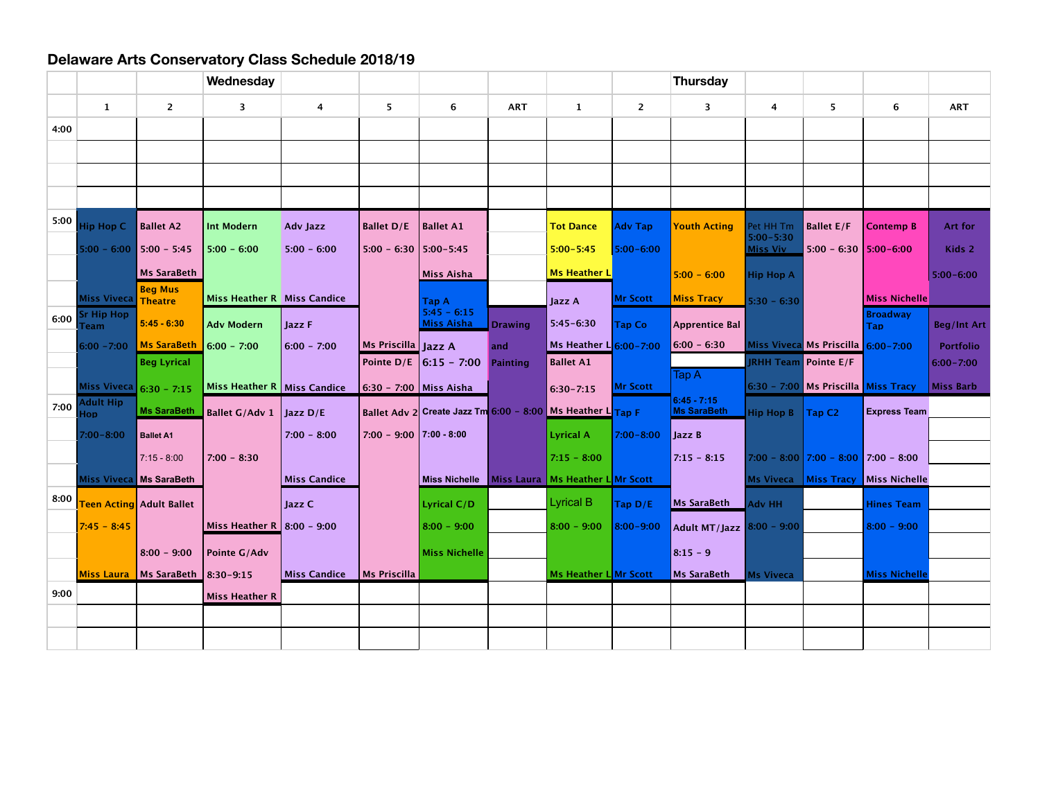## **Delaware Arts Conservatory Class Schedule 2018/19**

|      |                                  |                                      | Wednesday                     |                     |                               |                                                            |                |                        |                | <b>Thursday</b>                     |                                  |                                       |                                         |                    |
|------|----------------------------------|--------------------------------------|-------------------------------|---------------------|-------------------------------|------------------------------------------------------------|----------------|------------------------|----------------|-------------------------------------|----------------------------------|---------------------------------------|-----------------------------------------|--------------------|
|      | $\mathbf{1}$                     | $\overline{2}$                       | $\overline{\mathbf{3}}$       | $\overline{4}$      | 5                             | 6                                                          | <b>ART</b>     | $\mathbf{1}$           | $\overline{2}$ | 3                                   | 4                                | 5                                     | 6                                       | <b>ART</b>         |
| 4:00 |                                  |                                      |                               |                     |                               |                                                            |                |                        |                |                                     |                                  |                                       |                                         |                    |
|      |                                  |                                      |                               |                     |                               |                                                            |                |                        |                |                                     |                                  |                                       |                                         |                    |
|      |                                  |                                      |                               |                     |                               |                                                            |                |                        |                |                                     |                                  |                                       |                                         |                    |
|      |                                  |                                      |                               |                     |                               |                                                            |                |                        |                |                                     |                                  |                                       |                                         |                    |
| 5:00 | <b>Hip Hop C</b>                 | <b>Ballet A2</b>                     | <b>Int Modern</b>             | Adv Jazz            | <b>Ballet D/E</b>             | Ballet A1                                                  |                | <b>Tot Dance</b>       | <b>Adv Tap</b> | <b>Youth Acting</b>                 | Pet HH Tm                        | <b>Ballet E/F</b>                     | Contemp B                               | <b>Art for</b>     |
|      | $5:00 - 6:00$                    | $5:00 - 5:45$                        | $5:00 - 6:00$                 | $5:00 - 6:00$       | $5:00 - 6:30$   $5:00 - 5:45$ |                                                            |                | $5:00 - 5:45$          | 5:00-6:00      |                                     | $5:00 - 5:30$<br><b>Miss Viv</b> | $5:00 - 6:30$   $5:00 - 6:00$         |                                         | Kids 2             |
|      |                                  | <b>Ms SaraBeth</b>                   |                               |                     |                               | <b>Miss Aisha</b>                                          |                | <b>Ms Heather L</b>    |                | $5:00 - 6:00$                       |                                  |                                       |                                         | $5:00 - 6:00$      |
|      |                                  | <b>Beg Mus</b>                       |                               |                     |                               |                                                            |                |                        |                |                                     | <b>Hip Hop A</b>                 |                                       |                                         |                    |
|      | Miss Viveca<br><b>Sr Hip Hop</b> | <b>Theatre</b>                       | Miss Heather R Miss Candice   |                     |                               | <b>Tap A</b><br>$5:45 - 6:15$                              |                | Jazz A                 | Mr Scott       | <b>Miss Tracy</b>                   | $5:30 - 6:30$                    |                                       | <b>Miss Nichelle</b><br><b>Broadway</b> |                    |
| 6:00 | Team                             | $5:45 - 6:30$                        | <b>Adv Modern</b>             | Jazz F              |                               | <b>Miss Aisha</b>                                          | <b>Drawing</b> | $5:45 - 6:30$          | <b>Tap Co</b>  | <b>Apprentice Bal</b>               |                                  |                                       | Tap.                                    | <b>Beg/Int Art</b> |
|      | $6:00 - 7:00$                    | <b>Ms SaraBeth</b>                   | $6:00 - 7:00$                 | $6:00 - 7:00$       | Ms Priscilla Jazz A           |                                                            | and            | Ms Heather L 6:00-7:00 |                | $6:00 - 6:30$                       |                                  | Miss Viveca Ms Priscilla 6:00-7:00    |                                         | <b>Portfolio</b>   |
|      |                                  | <b>Beg Lyrical</b>                   |                               |                     |                               | Pointe $D/E$ 6:15 - 7:00                                   | Painting       | <b>Ballet A1</b>       |                |                                     |                                  | <b>RHH Team</b> Pointe E/F            |                                         | $6:00 - 7:00$      |
|      | Miss Viveca 6:30 - 7:15          |                                      | Miss Heather R   Miss Candice |                     | 6:30 - 7:00   Miss Aisha      |                                                            |                | $6:30 - 7:15$          | Mr Scott       | Tap A                               |                                  | 6:30 - 7:00 Ms Priscilla Miss Tracy   |                                         | Miss Barb          |
| 7:00 | Adult Hip<br>doF                 | <b>Ms SaraBeth</b>                   | Ballet G/Adv 1                | Jazz D/E            |                               | Ballet Adv 2 Create Jazz Tm 6:00 - 8:00 Ms Heather L Tap F |                |                        |                | $6:45 - 7:15$<br><b>Ms SaraBeth</b> | Hip Hop B                        | Tap C <sub>2</sub>                    | <b>Express Team</b>                     |                    |
|      | 7:00-8:00                        | <b>Ballet A1</b>                     |                               | $7:00 - 8:00$       | $7:00 - 9:00$ 7:00 - 8:00     |                                                            |                | <b>Lyrical A</b>       | $7:00 - 8:00$  | Jazz B                              |                                  |                                       |                                         |                    |
|      |                                  | $7:15 - 8:00$                        | $7:00 - 8:30$                 |                     |                               |                                                            |                | $7:15 - 8:00$          |                | $7:15 - 8:15$                       |                                  | $7:00 - 8:00$ 7:00 - 8:00 7:00 - 8:00 |                                         |                    |
|      | Miss Viveca Ms SaraBeth          |                                      |                               | <b>Miss Candice</b> |                               | Miss Nichelle   Miss Laura   Ms Heather L Mr Scott         |                |                        |                |                                     |                                  |                                       | Ms Viveca   Miss Tracy   Miss Nichelle  |                    |
| 8:00 |                                  | <b>Teen Acting</b> Adult Ballet      |                               | Jazz C              |                               | Lyrical C/D                                                |                | <b>Lyrical B</b>       | Tap $D/E$      | <b>Ms SaraBeth</b>                  | <b>Adv HH</b>                    |                                       | <b>Hines Team</b>                       |                    |
|      | $7:45 - 8:45$                    |                                      | Miss Heather R 8:00 - 9:00    |                     |                               | $ 8:00 - 9:00$                                             |                | $8:00 - 9:00$          | 8:00-9:00      | Adult MT/Jazz 8:00 - 9:00           |                                  |                                       | $8:00 - 9:00$                           |                    |
|      |                                  | $8:00 - 9:00$                        | Pointe G/Adv                  |                     |                               | Miss Nichelle                                              |                |                        |                | $8:15 - 9$                          |                                  |                                       |                                         |                    |
|      |                                  | Miss Laura   Ms SaraBeth   8:30-9:15 |                               | <b>Miss Candice</b> | Ms Priscilla                  |                                                            |                | Ms Heather L Mr Scott  |                | <b>Ms SaraBeth</b>                  | <b>Ms Viveca</b>                 |                                       | <b>Miss Nichelle</b>                    |                    |
| 9:00 |                                  |                                      | <b>Miss Heather R</b>         |                     |                               |                                                            |                |                        |                |                                     |                                  |                                       |                                         |                    |
|      |                                  |                                      |                               |                     |                               |                                                            |                |                        |                |                                     |                                  |                                       |                                         |                    |
|      |                                  |                                      |                               |                     |                               |                                                            |                |                        |                |                                     |                                  |                                       |                                         |                    |
|      |                                  |                                      |                               |                     |                               |                                                            |                |                        |                |                                     |                                  |                                       |                                         |                    |